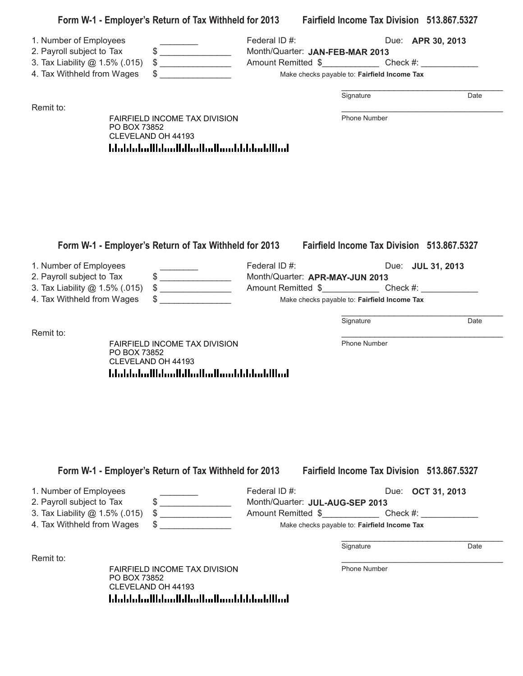| 1. Number of Employees<br>2. Payroll subject to Tax<br>3. Tax Liability @ 1.5% (.015) |              | $\qquad \qquad \, \texttt{\$} \textcolor{red}{\overbrace{ \texttt{\_}} \texttt{\_}}$<br>$\big\}$             | Federal ID#:<br>Month/Quarter: JAN-FEB-MAR 2013<br>Amount Remitted \$_______________________Check #: _______________________________ |                                                   | Due: <b>APR 30, 2013</b> |      |
|---------------------------------------------------------------------------------------|--------------|--------------------------------------------------------------------------------------------------------------|--------------------------------------------------------------------------------------------------------------------------------------|---------------------------------------------------|--------------------------|------|
| 4. Tax Withheld from Wages                                                            |              | $\sim$                                                                                                       |                                                                                                                                      | Make checks payable to: Fairfield Income Tax      |                          |      |
| Remit to:                                                                             |              |                                                                                                              |                                                                                                                                      | Signature                                         |                          | Date |
|                                                                                       | PO BOX 73852 | FAIRFIELD INCOME TAX DIVISION<br>CLEVELAND OH 44193<br>المطالبا بمليانا باستمالتها انتظارا استانت الململيات  |                                                                                                                                      | Phone Number                                      |                          |      |
| 1. Number of Employees<br>2. Payroll subject to Tax<br>3. Tax Liability @ 1.5% (.015) |              | Form W-1 - Employer's Return of Tax Withheld for 2013 Fairfield Income Tax Division 513.867.5327<br>$\big\}$ | Federal ID#:<br>Month/Quarter: APR-MAY-JUN 2013                                                                                      |                                                   | Due: JUL 31, 2013        |      |
| 4. Tax Withheld from Wages                                                            |              |                                                                                                              |                                                                                                                                      | Make checks payable to: Fairfield Income Tax      |                          |      |
| Remit to:                                                                             |              |                                                                                                              |                                                                                                                                      | Signature                                         |                          | Date |
|                                                                                       | PO BOX 73852 | FAIRFIELD INCOME TAX DIVISION<br>CLEVELAND OH 44193<br><u> Idaldaladildaallilladladiaaldildadillad</u>       |                                                                                                                                      | Phone Number                                      |                          |      |
|                                                                                       |              | Form W-1 - Employer's Return of Tax Withheld for 2013                                                        |                                                                                                                                      | <b>Fairfield Income Tax Division 513,867,5327</b> |                          |      |
| 1. Number of Employees<br>2. Payroll subject to Tax                                   |              | $\begin{array}{c} \updownarrow \\ \downarrow \end{array}$                                                    | Federal ID#:<br>Month/Quarter: JUL-AUG-SEP 2013                                                                                      |                                                   | Due: <b>OCT 31, 2013</b> |      |
| 3. Tax Liability @ 1.5% (.015)<br>4. Tax Withheld from Wages                          |              | $\frac{1}{2}$                                                                                                | Amount Remitted \$                                                                                                                   | Make checks payable to: Fairfield Income Tax      | $Check \#:\n$            |      |
|                                                                                       |              |                                                                                                              |                                                                                                                                      | Signature                                         |                          | Date |
|                                                                                       |              |                                                                                                              |                                                                                                                                      |                                                   |                          |      |